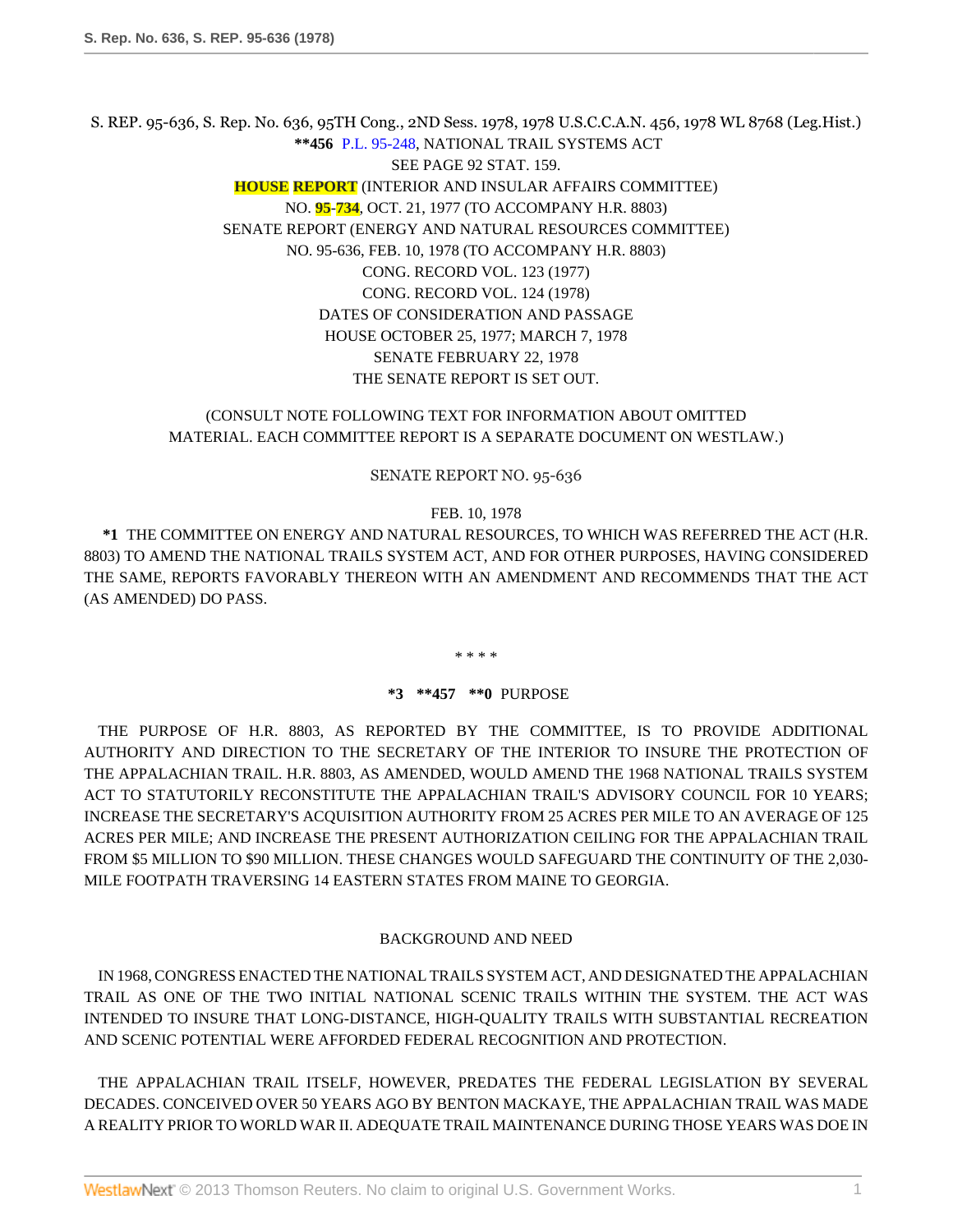S. REP. 95-636, S. Rep. No. 636, 95TH Cong., 2ND Sess. 1978, 1978 U.S.C.C.A.N. 456, 1978 WL 8768 (Leg.Hist.) **\*\*456** [P.L. 95-248](http://www.westlaw.com/Link/Document/FullText?findType=l&pubNum=1077005&cite=UUID(IE6925F5697-3B4701B367D-0D38DF424B4)&originationContext=document&vr=3.0&rs=cblt1.0&transitionType=DocumentItem&contextData=(sc.Search)), NATIONAL TRAIL SYSTEMS ACT SEE PAGE 92 STAT. 159. **HOUSE REPORT** (INTERIOR AND INSULAR AFFAIRS COMMITTEE) NO. **95**-**734**, OCT. 21, 1977 (TO ACCOMPANY H.R. 8803) SENATE REPORT (ENERGY AND NATURAL RESOURCES COMMITTEE) NO. 95-636, FEB. 10, 1978 (TO ACCOMPANY H.R. 8803) CONG. RECORD VOL. 123 (1977) CONG. RECORD VOL. 124 (1978) DATES OF CONSIDERATION AND PASSAGE HOUSE OCTOBER 25, 1977; MARCH 7, 1978 SENATE FEBRUARY 22, 1978 THE SENATE REPORT IS SET OUT.

### (CONSULT NOTE FOLLOWING TEXT FOR INFORMATION ABOUT OMITTED MATERIAL. EACH COMMITTEE REPORT IS A SEPARATE DOCUMENT ON WESTLAW.)

#### SENATE REPORT NO. 95-636

#### FEB. 10, 1978

**\*1** THE COMMITTEE ON ENERGY AND NATURAL RESOURCES, TO WHICH WAS REFERRED THE ACT (H.R. 8803) TO AMEND THE NATIONAL TRAILS SYSTEM ACT, AND FOR OTHER PURPOSES, HAVING CONSIDERED THE SAME, REPORTS FAVORABLY THEREON WITH AN AMENDMENT AND RECOMMENDS THAT THE ACT (AS AMENDED) DO PASS.

\* \* \* \*

#### **\*3 \*\*457 \*\*0** PURPOSE

THE PURPOSE OF H.R. 8803, AS REPORTED BY THE COMMITTEE, IS TO PROVIDE ADDITIONAL AUTHORITY AND DIRECTION TO THE SECRETARY OF THE INTERIOR TO INSURE THE PROTECTION OF THE APPALACHIAN TRAIL. H.R. 8803, AS AMENDED, WOULD AMEND THE 1968 NATIONAL TRAILS SYSTEM ACT TO STATUTORILY RECONSTITUTE THE APPALACHIAN TRAIL'S ADVISORY COUNCIL FOR 10 YEARS; INCREASE THE SECRETARY'S ACQUISITION AUTHORITY FROM 25 ACRES PER MILE TO AN AVERAGE OF 125 ACRES PER MILE; AND INCREASE THE PRESENT AUTHORIZATION CEILING FOR THE APPALACHIAN TRAIL FROM \$5 MILLION TO \$90 MILLION. THESE CHANGES WOULD SAFEGUARD THE CONTINUITY OF THE 2,030- MILE FOOTPATH TRAVERSING 14 EASTERN STATES FROM MAINE TO GEORGIA.

#### BACKGROUND AND NEED

IN 1968, CONGRESS ENACTED THE NATIONAL TRAILS SYSTEM ACT, AND DESIGNATED THE APPALACHIAN TRAIL AS ONE OF THE TWO INITIAL NATIONAL SCENIC TRAILS WITHIN THE SYSTEM. THE ACT WAS INTENDED TO INSURE THAT LONG-DISTANCE, HIGH-QUALITY TRAILS WITH SUBSTANTIAL RECREATION AND SCENIC POTENTIAL WERE AFFORDED FEDERAL RECOGNITION AND PROTECTION.

THE APPALACHIAN TRAIL ITSELF, HOWEVER, PREDATES THE FEDERAL LEGISLATION BY SEVERAL DECADES. CONCEIVED OVER 50 YEARS AGO BY BENTON MACKAYE, THE APPALACHIAN TRAIL WAS MADE A REALITY PRIOR TO WORLD WAR II. ADEQUATE TRAIL MAINTENANCE DURING THOSE YEARS WAS DOE IN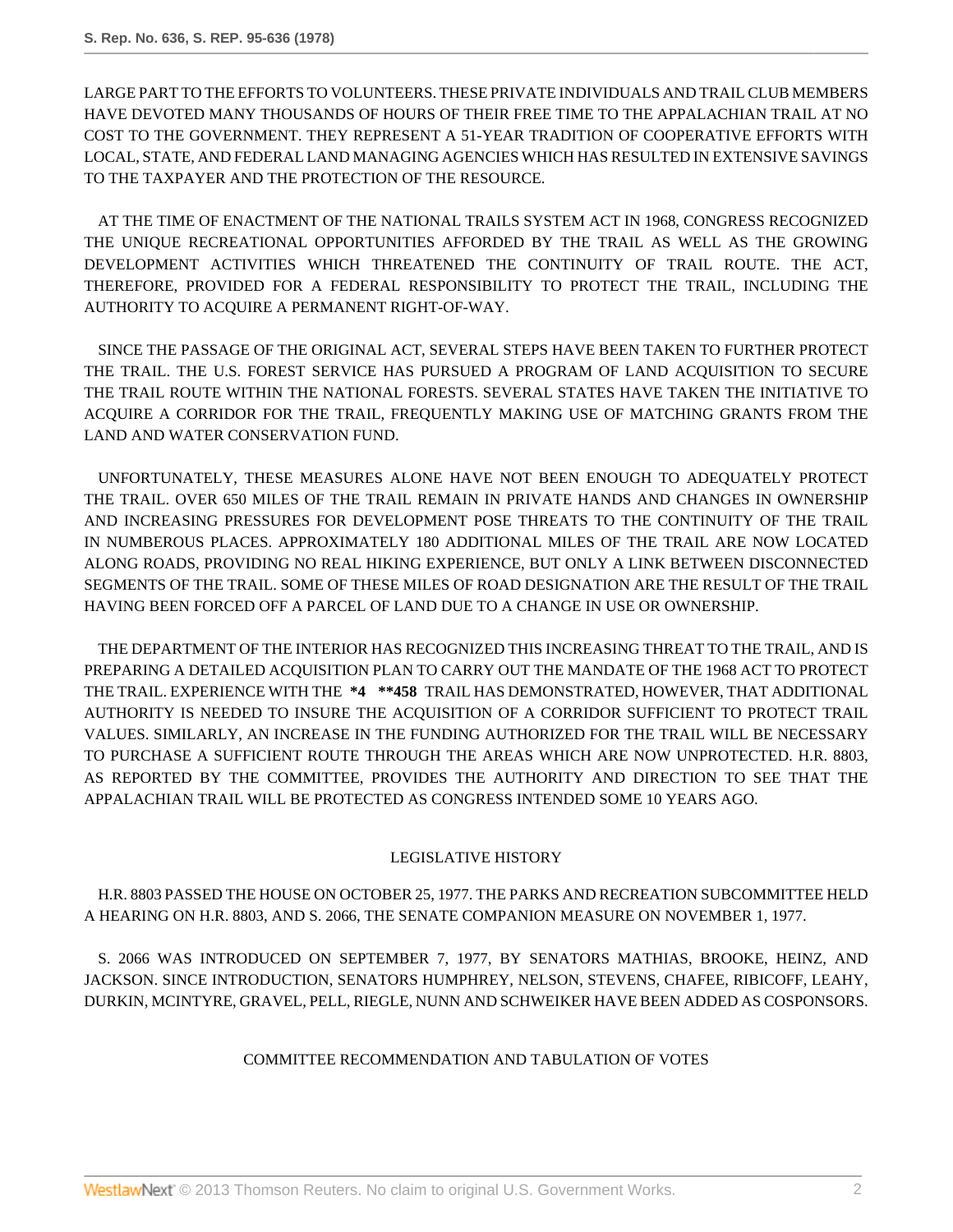LARGE PART TO THE EFFORTS TO VOLUNTEERS. THESE PRIVATE INDIVIDUALS AND TRAIL CLUB MEMBERS HAVE DEVOTED MANY THOUSANDS OF HOURS OF THEIR FREE TIME TO THE APPALACHIAN TRAIL AT NO COST TO THE GOVERNMENT. THEY REPRESENT A 51-YEAR TRADITION OF COOPERATIVE EFFORTS WITH LOCAL, STATE, AND FEDERAL LAND MANAGING AGENCIES WHICH HAS RESULTED IN EXTENSIVE SAVINGS TO THE TAXPAYER AND THE PROTECTION OF THE RESOURCE.

AT THE TIME OF ENACTMENT OF THE NATIONAL TRAILS SYSTEM ACT IN 1968, CONGRESS RECOGNIZED THE UNIQUE RECREATIONAL OPPORTUNITIES AFFORDED BY THE TRAIL AS WELL AS THE GROWING DEVELOPMENT ACTIVITIES WHICH THREATENED THE CONTINUITY OF TRAIL ROUTE. THE ACT, THEREFORE, PROVIDED FOR A FEDERAL RESPONSIBILITY TO PROTECT THE TRAIL, INCLUDING THE AUTHORITY TO ACQUIRE A PERMANENT RIGHT-OF-WAY.

SINCE THE PASSAGE OF THE ORIGINAL ACT, SEVERAL STEPS HAVE BEEN TAKEN TO FURTHER PROTECT THE TRAIL. THE U.S. FOREST SERVICE HAS PURSUED A PROGRAM OF LAND ACQUISITION TO SECURE THE TRAIL ROUTE WITHIN THE NATIONAL FORESTS. SEVERAL STATES HAVE TAKEN THE INITIATIVE TO ACQUIRE A CORRIDOR FOR THE TRAIL, FREQUENTLY MAKING USE OF MATCHING GRANTS FROM THE LAND AND WATER CONSERVATION FUND.

UNFORTUNATELY, THESE MEASURES ALONE HAVE NOT BEEN ENOUGH TO ADEQUATELY PROTECT THE TRAIL. OVER 650 MILES OF THE TRAIL REMAIN IN PRIVATE HANDS AND CHANGES IN OWNERSHIP AND INCREASING PRESSURES FOR DEVELOPMENT POSE THREATS TO THE CONTINUITY OF THE TRAIL IN NUMBEROUS PLACES. APPROXIMATELY 180 ADDITIONAL MILES OF THE TRAIL ARE NOW LOCATED ALONG ROADS, PROVIDING NO REAL HIKING EXPERIENCE, BUT ONLY A LINK BETWEEN DISCONNECTED SEGMENTS OF THE TRAIL. SOME OF THESE MILES OF ROAD DESIGNATION ARE THE RESULT OF THE TRAIL HAVING BEEN FORCED OFF A PARCEL OF LAND DUE TO A CHANGE IN USE OR OWNERSHIP.

THE DEPARTMENT OF THE INTERIOR HAS RECOGNIZED THIS INCREASING THREAT TO THE TRAIL, AND IS PREPARING A DETAILED ACQUISITION PLAN TO CARRY OUT THE MANDATE OF THE 1968 ACT TO PROTECT THE TRAIL. EXPERIENCE WITH THE **\*4 \*\*458** TRAIL HAS DEMONSTRATED, HOWEVER, THAT ADDITIONAL AUTHORITY IS NEEDED TO INSURE THE ACQUISITION OF A CORRIDOR SUFFICIENT TO PROTECT TRAIL VALUES. SIMILARLY, AN INCREASE IN THE FUNDING AUTHORIZED FOR THE TRAIL WILL BE NECESSARY TO PURCHASE A SUFFICIENT ROUTE THROUGH THE AREAS WHICH ARE NOW UNPROTECTED. H.R. 8803, AS REPORTED BY THE COMMITTEE, PROVIDES THE AUTHORITY AND DIRECTION TO SEE THAT THE APPALACHIAN TRAIL WILL BE PROTECTED AS CONGRESS INTENDED SOME 10 YEARS AGO.

## LEGISLATIVE HISTORY

H.R. 8803 PASSED THE HOUSE ON OCTOBER 25, 1977. THE PARKS AND RECREATION SUBCOMMITTEE HELD A HEARING ON H.R. 8803, AND S. 2066, THE SENATE COMPANION MEASURE ON NOVEMBER 1, 1977.

S. 2066 WAS INTRODUCED ON SEPTEMBER 7, 1977, BY SENATORS MATHIAS, BROOKE, HEINZ, AND JACKSON. SINCE INTRODUCTION, SENATORS HUMPHREY, NELSON, STEVENS, CHAFEE, RIBICOFF, LEAHY, DURKIN, MCINTYRE, GRAVEL, PELL, RIEGLE, NUNN AND SCHWEIKER HAVE BEEN ADDED AS COSPONSORS.

## COMMITTEE RECOMMENDATION AND TABULATION OF VOTES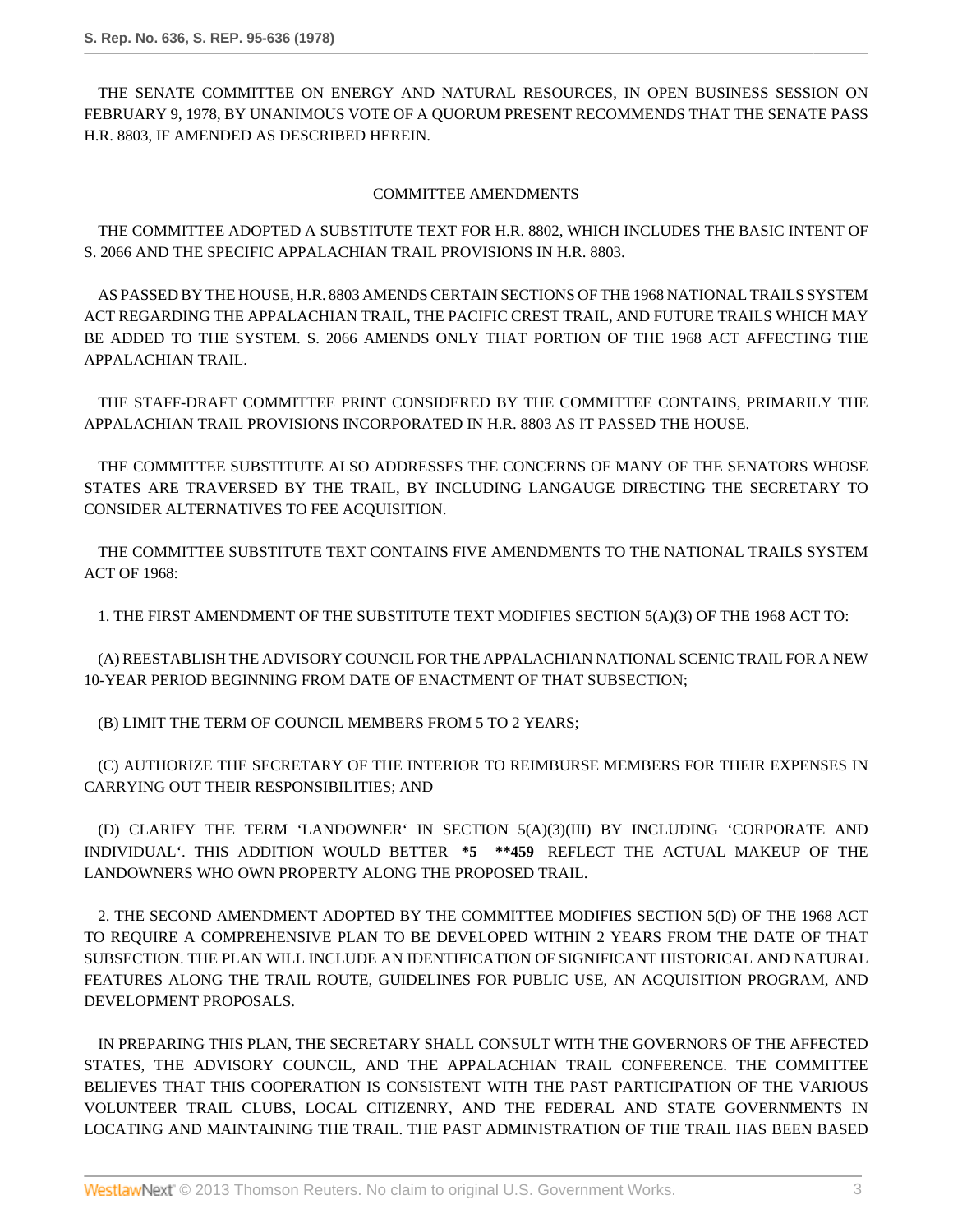THE SENATE COMMITTEE ON ENERGY AND NATURAL RESOURCES, IN OPEN BUSINESS SESSION ON FEBRUARY 9, 1978, BY UNANIMOUS VOTE OF A QUORUM PRESENT RECOMMENDS THAT THE SENATE PASS H.R. 8803, IF AMENDED AS DESCRIBED HEREIN.

### COMMITTEE AMENDMENTS

THE COMMITTEE ADOPTED A SUBSTITUTE TEXT FOR H.R. 8802, WHICH INCLUDES THE BASIC INTENT OF S. 2066 AND THE SPECIFIC APPALACHIAN TRAIL PROVISIONS IN H.R. 8803.

AS PASSED BY THE HOUSE, H.R. 8803 AMENDS CERTAIN SECTIONS OF THE 1968 NATIONAL TRAILS SYSTEM ACT REGARDING THE APPALACHIAN TRAIL, THE PACIFIC CREST TRAIL, AND FUTURE TRAILS WHICH MAY BE ADDED TO THE SYSTEM. S. 2066 AMENDS ONLY THAT PORTION OF THE 1968 ACT AFFECTING THE APPALACHIAN TRAIL.

THE STAFF-DRAFT COMMITTEE PRINT CONSIDERED BY THE COMMITTEE CONTAINS, PRIMARILY THE APPALACHIAN TRAIL PROVISIONS INCORPORATED IN H.R. 8803 AS IT PASSED THE HOUSE.

THE COMMITTEE SUBSTITUTE ALSO ADDRESSES THE CONCERNS OF MANY OF THE SENATORS WHOSE STATES ARE TRAVERSED BY THE TRAIL, BY INCLUDING LANGAUGE DIRECTING THE SECRETARY TO CONSIDER ALTERNATIVES TO FEE ACQUISITION.

THE COMMITTEE SUBSTITUTE TEXT CONTAINS FIVE AMENDMENTS TO THE NATIONAL TRAILS SYSTEM ACT OF 1968:

1. THE FIRST AMENDMENT OF THE SUBSTITUTE TEXT MODIFIES SECTION 5(A)(3) OF THE 1968 ACT TO:

(A) REESTABLISH THE ADVISORY COUNCIL FOR THE APPALACHIAN NATIONAL SCENIC TRAIL FOR A NEW 10-YEAR PERIOD BEGINNING FROM DATE OF ENACTMENT OF THAT SUBSECTION;

(B) LIMIT THE TERM OF COUNCIL MEMBERS FROM 5 TO 2 YEARS;

(C) AUTHORIZE THE SECRETARY OF THE INTERIOR TO REIMBURSE MEMBERS FOR THEIR EXPENSES IN CARRYING OUT THEIR RESPONSIBILITIES; AND

(D) CLARIFY THE TERM 'LANDOWNER' IN SECTION 5(A)(3)(III) BY INCLUDING 'CORPORATE AND INDIVIDUAL'. THIS ADDITION WOULD BETTER **\*5 \*\*459** REFLECT THE ACTUAL MAKEUP OF THE LANDOWNERS WHO OWN PROPERTY ALONG THE PROPOSED TRAIL.

2. THE SECOND AMENDMENT ADOPTED BY THE COMMITTEE MODIFIES SECTION 5(D) OF THE 1968 ACT TO REQUIRE A COMPREHENSIVE PLAN TO BE DEVELOPED WITHIN 2 YEARS FROM THE DATE OF THAT SUBSECTION. THE PLAN WILL INCLUDE AN IDENTIFICATION OF SIGNIFICANT HISTORICAL AND NATURAL FEATURES ALONG THE TRAIL ROUTE, GUIDELINES FOR PUBLIC USE, AN ACQUISITION PROGRAM, AND DEVELOPMENT PROPOSALS.

IN PREPARING THIS PLAN, THE SECRETARY SHALL CONSULT WITH THE GOVERNORS OF THE AFFECTED STATES, THE ADVISORY COUNCIL, AND THE APPALACHIAN TRAIL CONFERENCE. THE COMMITTEE BELIEVES THAT THIS COOPERATION IS CONSISTENT WITH THE PAST PARTICIPATION OF THE VARIOUS VOLUNTEER TRAIL CLUBS, LOCAL CITIZENRY, AND THE FEDERAL AND STATE GOVERNMENTS IN LOCATING AND MAINTAINING THE TRAIL. THE PAST ADMINISTRATION OF THE TRAIL HAS BEEN BASED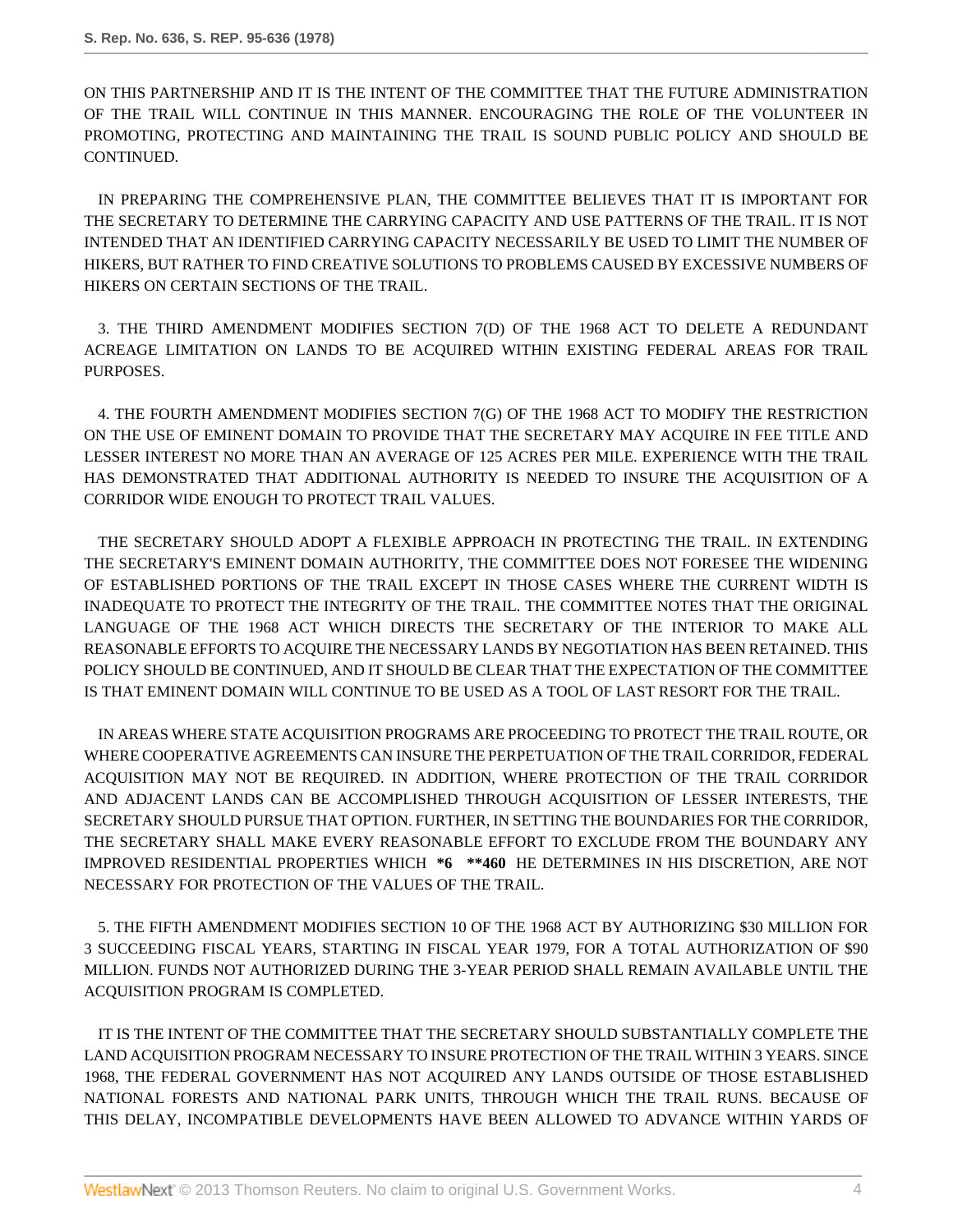ON THIS PARTNERSHIP AND IT IS THE INTENT OF THE COMMITTEE THAT THE FUTURE ADMINISTRATION OF THE TRAIL WILL CONTINUE IN THIS MANNER. ENCOURAGING THE ROLE OF THE VOLUNTEER IN PROMOTING, PROTECTING AND MAINTAINING THE TRAIL IS SOUND PUBLIC POLICY AND SHOULD BE CONTINUED.

IN PREPARING THE COMPREHENSIVE PLAN, THE COMMITTEE BELIEVES THAT IT IS IMPORTANT FOR THE SECRETARY TO DETERMINE THE CARRYING CAPACITY AND USE PATTERNS OF THE TRAIL. IT IS NOT INTENDED THAT AN IDENTIFIED CARRYING CAPACITY NECESSARILY BE USED TO LIMIT THE NUMBER OF HIKERS, BUT RATHER TO FIND CREATIVE SOLUTIONS TO PROBLEMS CAUSED BY EXCESSIVE NUMBERS OF HIKERS ON CERTAIN SECTIONS OF THE TRAIL.

3. THE THIRD AMENDMENT MODIFIES SECTION 7(D) OF THE 1968 ACT TO DELETE A REDUNDANT ACREAGE LIMITATION ON LANDS TO BE ACQUIRED WITHIN EXISTING FEDERAL AREAS FOR TRAIL PURPOSES.

4. THE FOURTH AMENDMENT MODIFIES SECTION 7(G) OF THE 1968 ACT TO MODIFY THE RESTRICTION ON THE USE OF EMINENT DOMAIN TO PROVIDE THAT THE SECRETARY MAY ACQUIRE IN FEE TITLE AND LESSER INTEREST NO MORE THAN AN AVERAGE OF 125 ACRES PER MILE. EXPERIENCE WITH THE TRAIL HAS DEMONSTRATED THAT ADDITIONAL AUTHORITY IS NEEDED TO INSURE THE ACQUISITION OF A CORRIDOR WIDE ENOUGH TO PROTECT TRAIL VALUES.

THE SECRETARY SHOULD ADOPT A FLEXIBLE APPROACH IN PROTECTING THE TRAIL. IN EXTENDING THE SECRETARY'S EMINENT DOMAIN AUTHORITY, THE COMMITTEE DOES NOT FORESEE THE WIDENING OF ESTABLISHED PORTIONS OF THE TRAIL EXCEPT IN THOSE CASES WHERE THE CURRENT WIDTH IS INADEQUATE TO PROTECT THE INTEGRITY OF THE TRAIL. THE COMMITTEE NOTES THAT THE ORIGINAL LANGUAGE OF THE 1968 ACT WHICH DIRECTS THE SECRETARY OF THE INTERIOR TO MAKE ALL REASONABLE EFFORTS TO ACQUIRE THE NECESSARY LANDS BY NEGOTIATION HAS BEEN RETAINED. THIS POLICY SHOULD BE CONTINUED, AND IT SHOULD BE CLEAR THAT THE EXPECTATION OF THE COMMITTEE IS THAT EMINENT DOMAIN WILL CONTINUE TO BE USED AS A TOOL OF LAST RESORT FOR THE TRAIL.

IN AREAS WHERE STATE ACQUISITION PROGRAMS ARE PROCEEDING TO PROTECT THE TRAIL ROUTE, OR WHERE COOPERATIVE AGREEMENTS CAN INSURE THE PERPETUATION OF THE TRAIL CORRIDOR, FEDERAL ACQUISITION MAY NOT BE REQUIRED. IN ADDITION, WHERE PROTECTION OF THE TRAIL CORRIDOR AND ADJACENT LANDS CAN BE ACCOMPLISHED THROUGH ACQUISITION OF LESSER INTERESTS, THE SECRETARY SHOULD PURSUE THAT OPTION. FURTHER, IN SETTING THE BOUNDARIES FOR THE CORRIDOR, THE SECRETARY SHALL MAKE EVERY REASONABLE EFFORT TO EXCLUDE FROM THE BOUNDARY ANY IMPROVED RESIDENTIAL PROPERTIES WHICH **\*6 \*\*460** HE DETERMINES IN HIS DISCRETION, ARE NOT NECESSARY FOR PROTECTION OF THE VALUES OF THE TRAIL.

5. THE FIFTH AMENDMENT MODIFIES SECTION 10 OF THE 1968 ACT BY AUTHORIZING \$30 MILLION FOR 3 SUCCEEDING FISCAL YEARS, STARTING IN FISCAL YEAR 1979, FOR A TOTAL AUTHORIZATION OF \$90 MILLION. FUNDS NOT AUTHORIZED DURING THE 3-YEAR PERIOD SHALL REMAIN AVAILABLE UNTIL THE ACQUISITION PROGRAM IS COMPLETED.

IT IS THE INTENT OF THE COMMITTEE THAT THE SECRETARY SHOULD SUBSTANTIALLY COMPLETE THE LAND ACQUISITION PROGRAM NECESSARY TO INSURE PROTECTION OF THE TRAIL WITHIN 3 YEARS. SINCE 1968, THE FEDERAL GOVERNMENT HAS NOT ACQUIRED ANY LANDS OUTSIDE OF THOSE ESTABLISHED NATIONAL FORESTS AND NATIONAL PARK UNITS, THROUGH WHICH THE TRAIL RUNS. BECAUSE OF THIS DELAY, INCOMPATIBLE DEVELOPMENTS HAVE BEEN ALLOWED TO ADVANCE WITHIN YARDS OF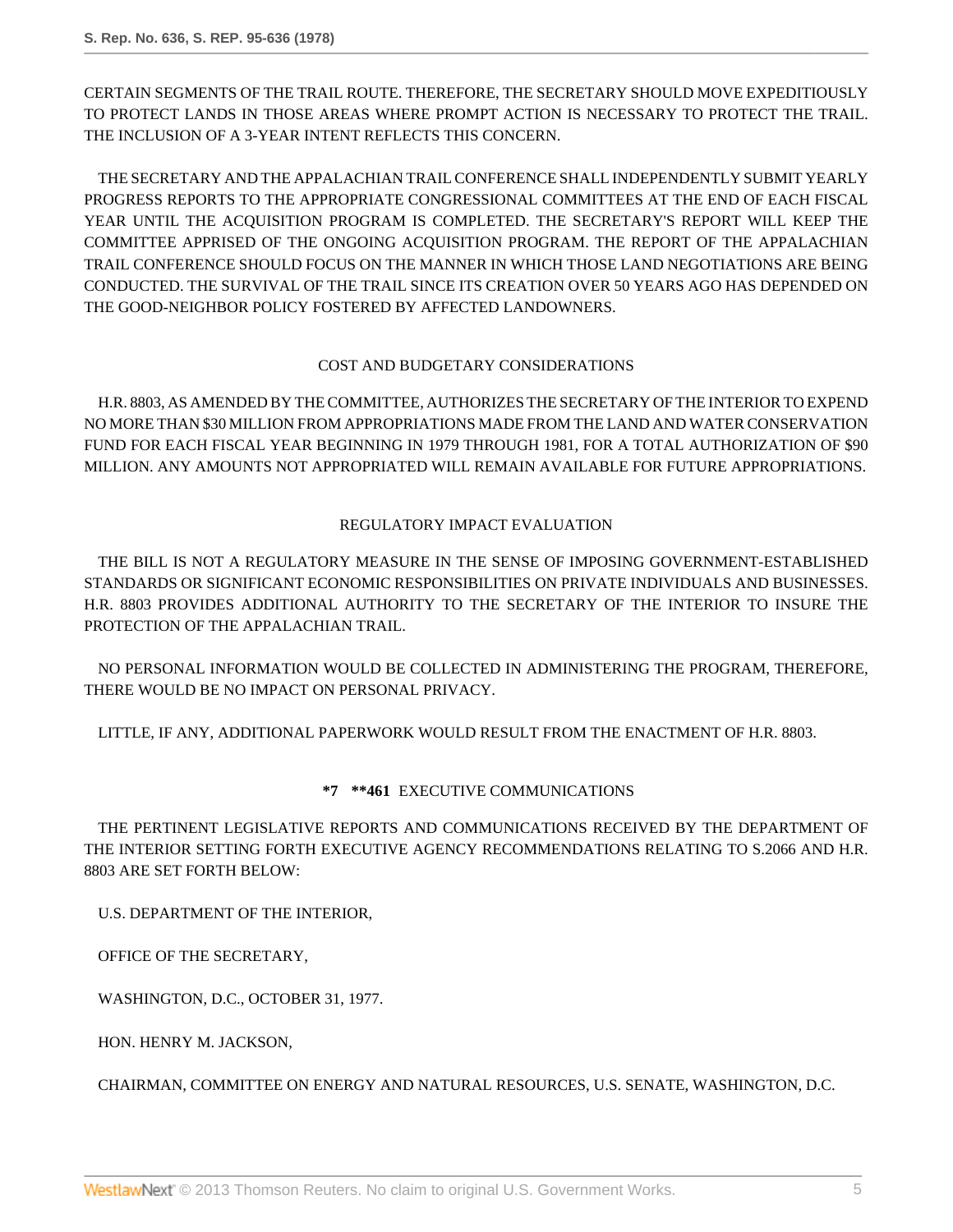CERTAIN SEGMENTS OF THE TRAIL ROUTE. THEREFORE, THE SECRETARY SHOULD MOVE EXPEDITIOUSLY TO PROTECT LANDS IN THOSE AREAS WHERE PROMPT ACTION IS NECESSARY TO PROTECT THE TRAIL. THE INCLUSION OF A 3-YEAR INTENT REFLECTS THIS CONCERN.

THE SECRETARY AND THE APPALACHIAN TRAIL CONFERENCE SHALL INDEPENDENTLY SUBMIT YEARLY PROGRESS REPORTS TO THE APPROPRIATE CONGRESSIONAL COMMITTEES AT THE END OF EACH FISCAL YEAR UNTIL THE ACQUISITION PROGRAM IS COMPLETED. THE SECRETARY'S REPORT WILL KEEP THE COMMITTEE APPRISED OF THE ONGOING ACQUISITION PROGRAM. THE REPORT OF THE APPALACHIAN TRAIL CONFERENCE SHOULD FOCUS ON THE MANNER IN WHICH THOSE LAND NEGOTIATIONS ARE BEING CONDUCTED. THE SURVIVAL OF THE TRAIL SINCE ITS CREATION OVER 50 YEARS AGO HAS DEPENDED ON THE GOOD-NEIGHBOR POLICY FOSTERED BY AFFECTED LANDOWNERS.

## COST AND BUDGETARY CONSIDERATIONS

H.R. 8803, AS AMENDED BY THE COMMITTEE, AUTHORIZES THE SECRETARY OF THE INTERIOR TO EXPEND NO MORE THAN \$30 MILLION FROM APPROPRIATIONS MADE FROM THE LAND AND WATER CONSERVATION FUND FOR EACH FISCAL YEAR BEGINNING IN 1979 THROUGH 1981, FOR A TOTAL AUTHORIZATION OF \$90 MILLION. ANY AMOUNTS NOT APPROPRIATED WILL REMAIN AVAILABLE FOR FUTURE APPROPRIATIONS.

## REGULATORY IMPACT EVALUATION

THE BILL IS NOT A REGULATORY MEASURE IN THE SENSE OF IMPOSING GOVERNMENT-ESTABLISHED STANDARDS OR SIGNIFICANT ECONOMIC RESPONSIBILITIES ON PRIVATE INDIVIDUALS AND BUSINESSES. H.R. 8803 PROVIDES ADDITIONAL AUTHORITY TO THE SECRETARY OF THE INTERIOR TO INSURE THE PROTECTION OF THE APPALACHIAN TRAIL.

NO PERSONAL INFORMATION WOULD BE COLLECTED IN ADMINISTERING THE PROGRAM, THEREFORE, THERE WOULD BE NO IMPACT ON PERSONAL PRIVACY.

LITTLE, IF ANY, ADDITIONAL PAPERWORK WOULD RESULT FROM THE ENACTMENT OF H.R. 8803.

# **\*7 \*\*461** EXECUTIVE COMMUNICATIONS

THE PERTINENT LEGISLATIVE REPORTS AND COMMUNICATIONS RECEIVED BY THE DEPARTMENT OF THE INTERIOR SETTING FORTH EXECUTIVE AGENCY RECOMMENDATIONS RELATING TO S.2066 AND H.R. 8803 ARE SET FORTH BELOW:

U.S. DEPARTMENT OF THE INTERIOR,

OFFICE OF THE SECRETARY,

WASHINGTON, D.C., OCTOBER 31, 1977.

HON. HENRY M. JACKSON,

CHAIRMAN, COMMITTEE ON ENERGY AND NATURAL RESOURCES, U.S. SENATE, WASHINGTON, D.C.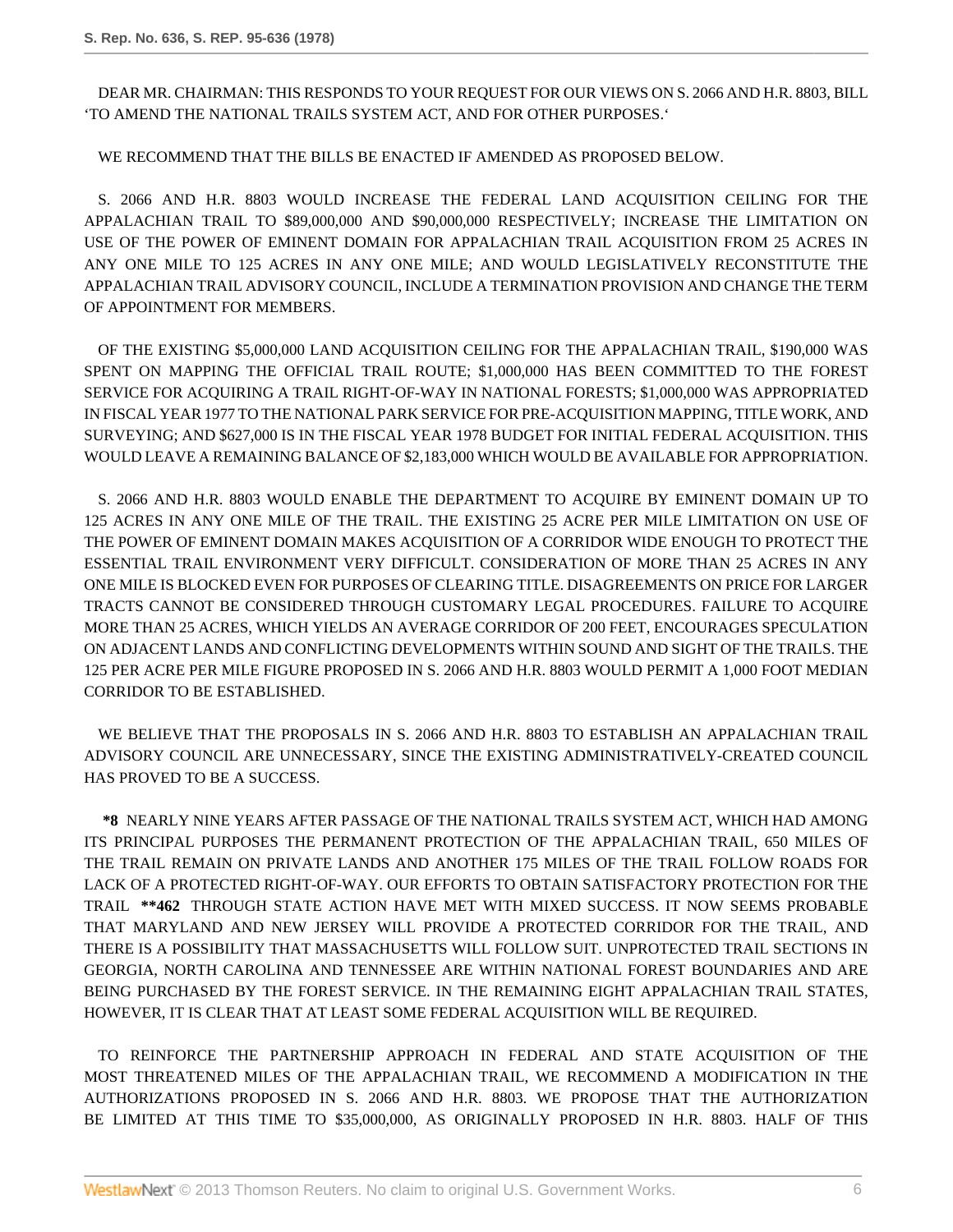DEAR MR. CHAIRMAN: THIS RESPONDS TO YOUR REQUEST FOR OUR VIEWS ON S. 2066 AND H.R. 8803, BILL 'TO AMEND THE NATIONAL TRAILS SYSTEM ACT, AND FOR OTHER PURPOSES.'

WE RECOMMEND THAT THE BILLS BE ENACTED IF AMENDED AS PROPOSED BELOW.

S. 2066 AND H.R. 8803 WOULD INCREASE THE FEDERAL LAND ACQUISITION CEILING FOR THE APPALACHIAN TRAIL TO \$89,000,000 AND \$90,000,000 RESPECTIVELY; INCREASE THE LIMITATION ON USE OF THE POWER OF EMINENT DOMAIN FOR APPALACHIAN TRAIL ACQUISITION FROM 25 ACRES IN ANY ONE MILE TO 125 ACRES IN ANY ONE MILE; AND WOULD LEGISLATIVELY RECONSTITUTE THE APPALACHIAN TRAIL ADVISORY COUNCIL, INCLUDE A TERMINATION PROVISION AND CHANGE THE TERM OF APPOINTMENT FOR MEMBERS.

OF THE EXISTING \$5,000,000 LAND ACQUISITION CEILING FOR THE APPALACHIAN TRAIL, \$190,000 WAS SPENT ON MAPPING THE OFFICIAL TRAIL ROUTE; \$1,000,000 HAS BEEN COMMITTED TO THE FOREST SERVICE FOR ACQUIRING A TRAIL RIGHT-OF-WAY IN NATIONAL FORESTS; \$1,000,000 WAS APPROPRIATED IN FISCAL YEAR 1977 TO THE NATIONAL PARK SERVICE FOR PRE-ACQUISITION MAPPING, TITLE WORK, AND SURVEYING; AND \$627,000 IS IN THE FISCAL YEAR 1978 BUDGET FOR INITIAL FEDERAL ACQUISITION. THIS WOULD LEAVE A REMAINING BALANCE OF \$2,183,000 WHICH WOULD BE AVAILABLE FOR APPROPRIATION.

S. 2066 AND H.R. 8803 WOULD ENABLE THE DEPARTMENT TO ACQUIRE BY EMINENT DOMAIN UP TO 125 ACRES IN ANY ONE MILE OF THE TRAIL. THE EXISTING 25 ACRE PER MILE LIMITATION ON USE OF THE POWER OF EMINENT DOMAIN MAKES ACQUISITION OF A CORRIDOR WIDE ENOUGH TO PROTECT THE ESSENTIAL TRAIL ENVIRONMENT VERY DIFFICULT. CONSIDERATION OF MORE THAN 25 ACRES IN ANY ONE MILE IS BLOCKED EVEN FOR PURPOSES OF CLEARING TITLE. DISAGREEMENTS ON PRICE FOR LARGER TRACTS CANNOT BE CONSIDERED THROUGH CUSTOMARY LEGAL PROCEDURES. FAILURE TO ACQUIRE MORE THAN 25 ACRES, WHICH YIELDS AN AVERAGE CORRIDOR OF 200 FEET, ENCOURAGES SPECULATION ON ADJACENT LANDS AND CONFLICTING DEVELOPMENTS WITHIN SOUND AND SIGHT OF THE TRAILS. THE 125 PER ACRE PER MILE FIGURE PROPOSED IN S. 2066 AND H.R. 8803 WOULD PERMIT A 1,000 FOOT MEDIAN CORRIDOR TO BE ESTABLISHED.

WE BELIEVE THAT THE PROPOSALS IN S. 2066 AND H.R. 8803 TO ESTABLISH AN APPALACHIAN TRAIL ADVISORY COUNCIL ARE UNNECESSARY, SINCE THE EXISTING ADMINISTRATIVELY-CREATED COUNCIL HAS PROVED TO BE A SUCCESS.

**\*8** NEARLY NINE YEARS AFTER PASSAGE OF THE NATIONAL TRAILS SYSTEM ACT, WHICH HAD AMONG ITS PRINCIPAL PURPOSES THE PERMANENT PROTECTION OF THE APPALACHIAN TRAIL, 650 MILES OF THE TRAIL REMAIN ON PRIVATE LANDS AND ANOTHER 175 MILES OF THE TRAIL FOLLOW ROADS FOR LACK OF A PROTECTED RIGHT-OF-WAY. OUR EFFORTS TO OBTAIN SATISFACTORY PROTECTION FOR THE TRAIL **\*\*462** THROUGH STATE ACTION HAVE MET WITH MIXED SUCCESS. IT NOW SEEMS PROBABLE THAT MARYLAND AND NEW JERSEY WILL PROVIDE A PROTECTED CORRIDOR FOR THE TRAIL, AND THERE IS A POSSIBILITY THAT MASSACHUSETTS WILL FOLLOW SUIT. UNPROTECTED TRAIL SECTIONS IN GEORGIA, NORTH CAROLINA AND TENNESSEE ARE WITHIN NATIONAL FOREST BOUNDARIES AND ARE BEING PURCHASED BY THE FOREST SERVICE. IN THE REMAINING EIGHT APPALACHIAN TRAIL STATES, HOWEVER, IT IS CLEAR THAT AT LEAST SOME FEDERAL ACQUISITION WILL BE REQUIRED.

TO REINFORCE THE PARTNERSHIP APPROACH IN FEDERAL AND STATE ACQUISITION OF THE MOST THREATENED MILES OF THE APPALACHIAN TRAIL, WE RECOMMEND A MODIFICATION IN THE AUTHORIZATIONS PROPOSED IN S. 2066 AND H.R. 8803. WE PROPOSE THAT THE AUTHORIZATION BE LIMITED AT THIS TIME TO \$35,000,000, AS ORIGINALLY PROPOSED IN H.R. 8803. HALF OF THIS